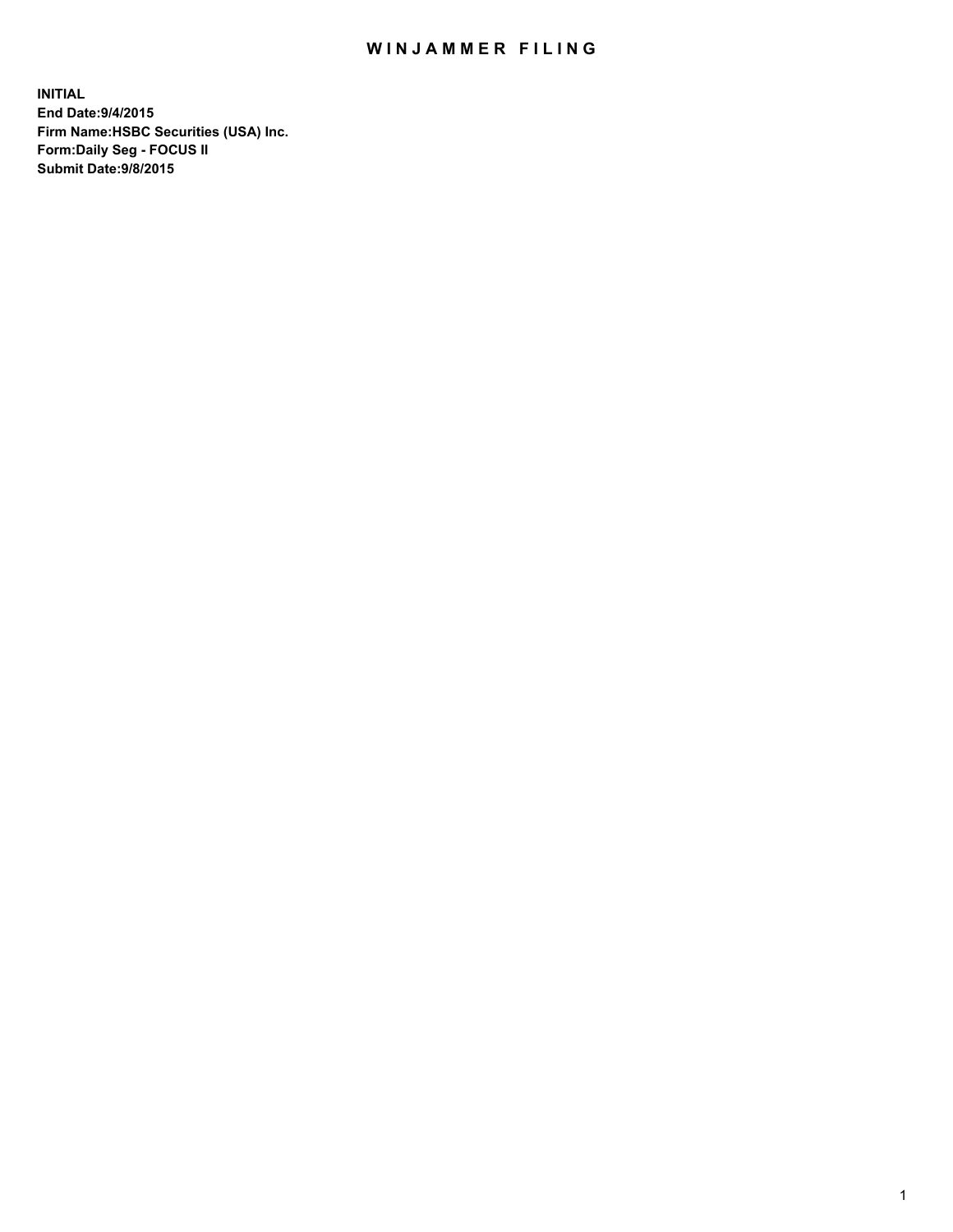## WIN JAMMER FILING

**INITIAL End Date:9/4/2015 Firm Name:HSBC Securities (USA) Inc. Form:Daily Seg - FOCUS II Submit Date:9/8/2015**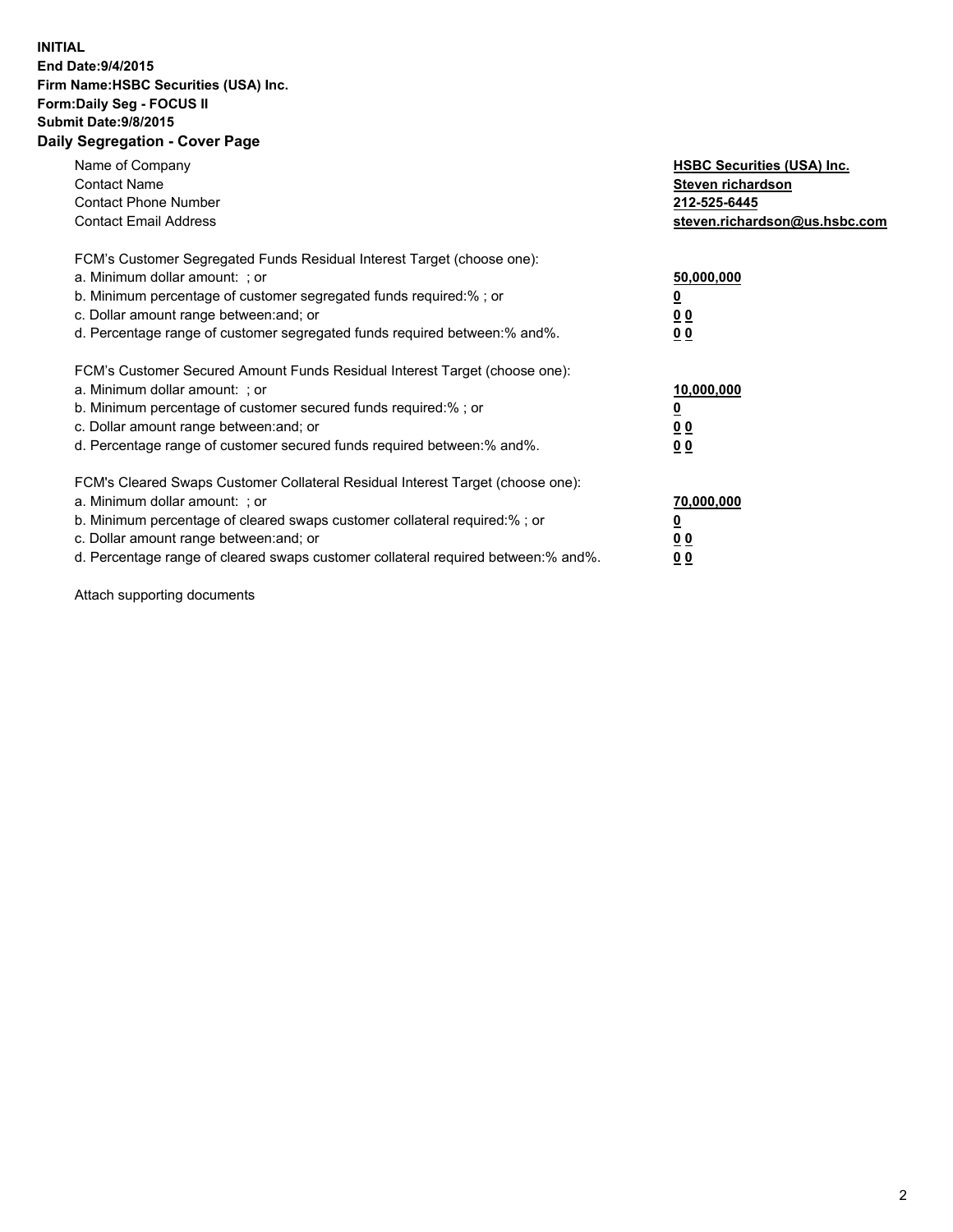## **INITIAL End Date:9/4/2015 Firm Name:HSBC Securities (USA) Inc. Form:Daily Seg - FOCUS II Submit Date:9/8/2015 Daily Segregation - Cover Page**

| Name of Company<br><b>Contact Name</b><br><b>Contact Phone Number</b><br><b>Contact Email Address</b>                                                                                                                                                                                                                          | <b>HSBC Securities (USA) Inc.</b><br>Steven richardson<br>212-525-6445<br>steven.richardson@us.hsbc.com |
|--------------------------------------------------------------------------------------------------------------------------------------------------------------------------------------------------------------------------------------------------------------------------------------------------------------------------------|---------------------------------------------------------------------------------------------------------|
| FCM's Customer Segregated Funds Residual Interest Target (choose one):<br>a. Minimum dollar amount: ; or<br>b. Minimum percentage of customer segregated funds required:%; or<br>c. Dollar amount range between: and; or<br>d. Percentage range of customer segregated funds required between:% and%.                          | 50,000,000<br>00<br>00                                                                                  |
| FCM's Customer Secured Amount Funds Residual Interest Target (choose one):<br>a. Minimum dollar amount: ; or<br>b. Minimum percentage of customer secured funds required:%; or<br>c. Dollar amount range between: and; or<br>d. Percentage range of customer secured funds required between:% and%.                            | 10,000,000<br>0 <sub>0</sub><br>00                                                                      |
| FCM's Cleared Swaps Customer Collateral Residual Interest Target (choose one):<br>a. Minimum dollar amount: ; or<br>b. Minimum percentage of cleared swaps customer collateral required:% ; or<br>c. Dollar amount range between: and; or<br>d. Percentage range of cleared swaps customer collateral required between:% and%. | 70,000,000<br><u>00</u><br><u>00</u>                                                                    |

Attach supporting documents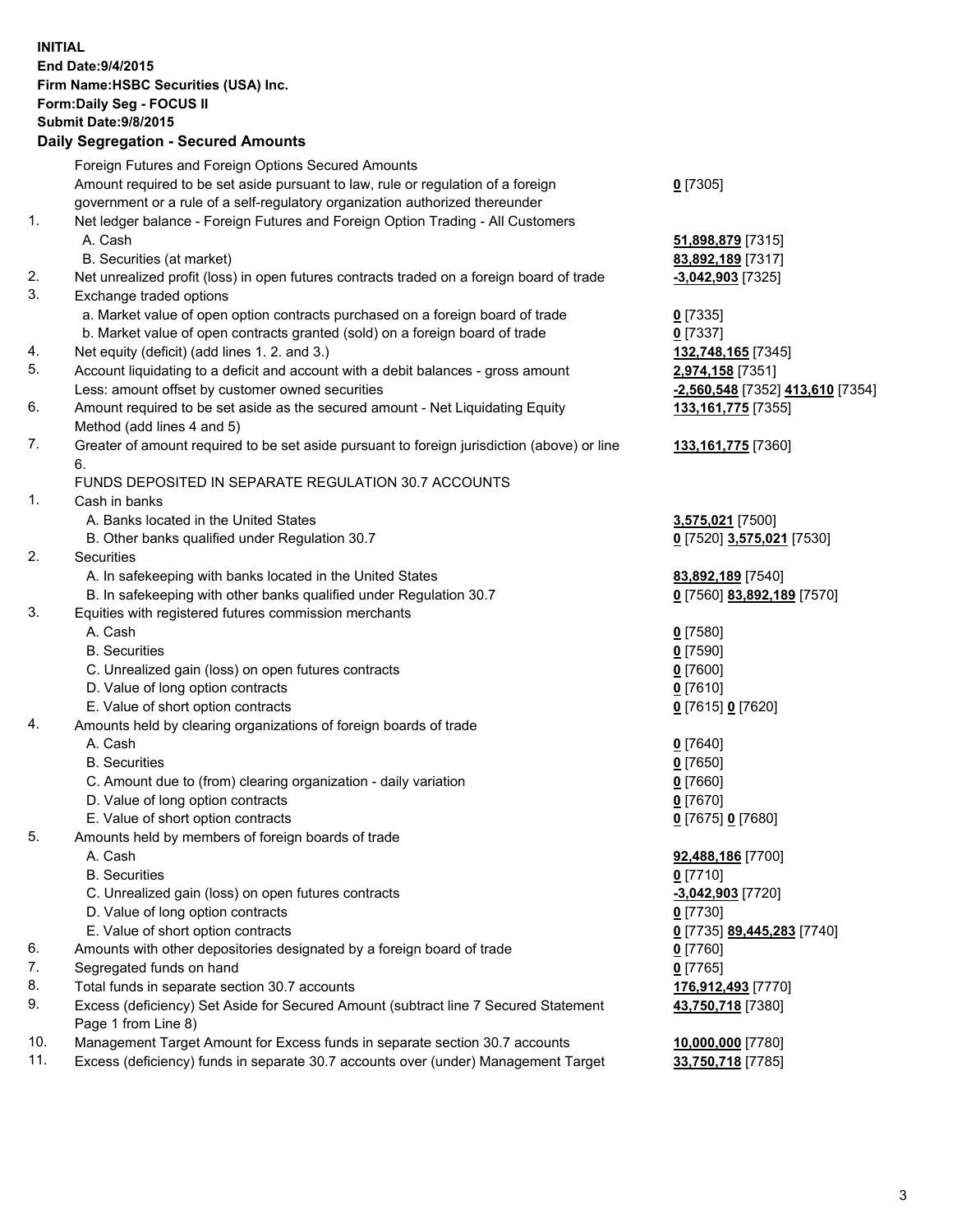**INITIAL End Date:9/4/2015 Firm Name:HSBC Securities (USA) Inc. Form:Daily Seg - FOCUS II Submit Date:9/8/2015 Daily Segregation - Secured Amounts** Foreign Futures and Foreign Options Secured Amounts Amount required to be set aside pursuant to law, rule or regulation of a foreign government or a rule of a self-regulatory organization authorized thereunder **0** [7305] 1. Net ledger balance - Foreign Futures and Foreign Option Trading - All Customers A. Cash **51,898,879** [7315] B. Securities (at market) **83,892,189** [7317] 2. Net unrealized profit (loss) in open futures contracts traded on a foreign board of trade **-3,042,903** [7325] 3. Exchange traded options a. Market value of open option contracts purchased on a foreign board of trade **0** [7335] b. Market value of open contracts granted (sold) on a foreign board of trade **0** [7337] 4. Net equity (deficit) (add lines 1. 2. and 3.) **132,748,165** [7345] 5. Account liquidating to a deficit and account with a debit balances - gross amount **2,974,158** [7351] Less: amount offset by customer owned securities **-2,560,548** [7352] **413,610** [7354] 6. Amount required to be set aside as the secured amount - Net Liquidating Equity Method (add lines 4 and 5) **133,161,775** [7355] 7. Greater of amount required to be set aside pursuant to foreign jurisdiction (above) or line 6. **133,161,775** [7360] FUNDS DEPOSITED IN SEPARATE REGULATION 30.7 ACCOUNTS 1. Cash in banks A. Banks located in the United States **3,575,021** [7500] B. Other banks qualified under Regulation 30.7 **0** [7520] **3,575,021** [7530] 2. Securities A. In safekeeping with banks located in the United States **83,892,189** [7540] B. In safekeeping with other banks qualified under Regulation 30.7 **0** [7560] **83,892,189** [7570] 3. Equities with registered futures commission merchants A. Cash **0** [7580] B. Securities **0** [7590] C. Unrealized gain (loss) on open futures contracts **0** [7600] D. Value of long option contracts **0** [7610] E. Value of short option contracts **0** [7615] **0** [7620] 4. Amounts held by clearing organizations of foreign boards of trade A. Cash **0** [7640] B. Securities **0** [7650] C. Amount due to (from) clearing organization - daily variation **0** [7660] D. Value of long option contracts **0** [7670] E. Value of short option contracts **0** [7675] **0** [7680] 5. Amounts held by members of foreign boards of trade A. Cash **92,488,186** [7700] B. Securities **0** [7710] C. Unrealized gain (loss) on open futures contracts **-3,042,903** [7720] D. Value of long option contracts **0** [7730] E. Value of short option contracts **0** [7735] **89,445,283** [7740] 6. Amounts with other depositories designated by a foreign board of trade **0** [7760] 7. Segregated funds on hand **0** [7765] 8. Total funds in separate section 30.7 accounts **176,912,493** [7770] 9. Excess (deficiency) Set Aside for Secured Amount (subtract line 7 Secured Statement Page 1 from Line 8) **43,750,718** [7380] 10. Management Target Amount for Excess funds in separate section 30.7 accounts **10,000,000** [7780] 11. Excess (deficiency) funds in separate 30.7 accounts over (under) Management Target **33,750,718** [7785]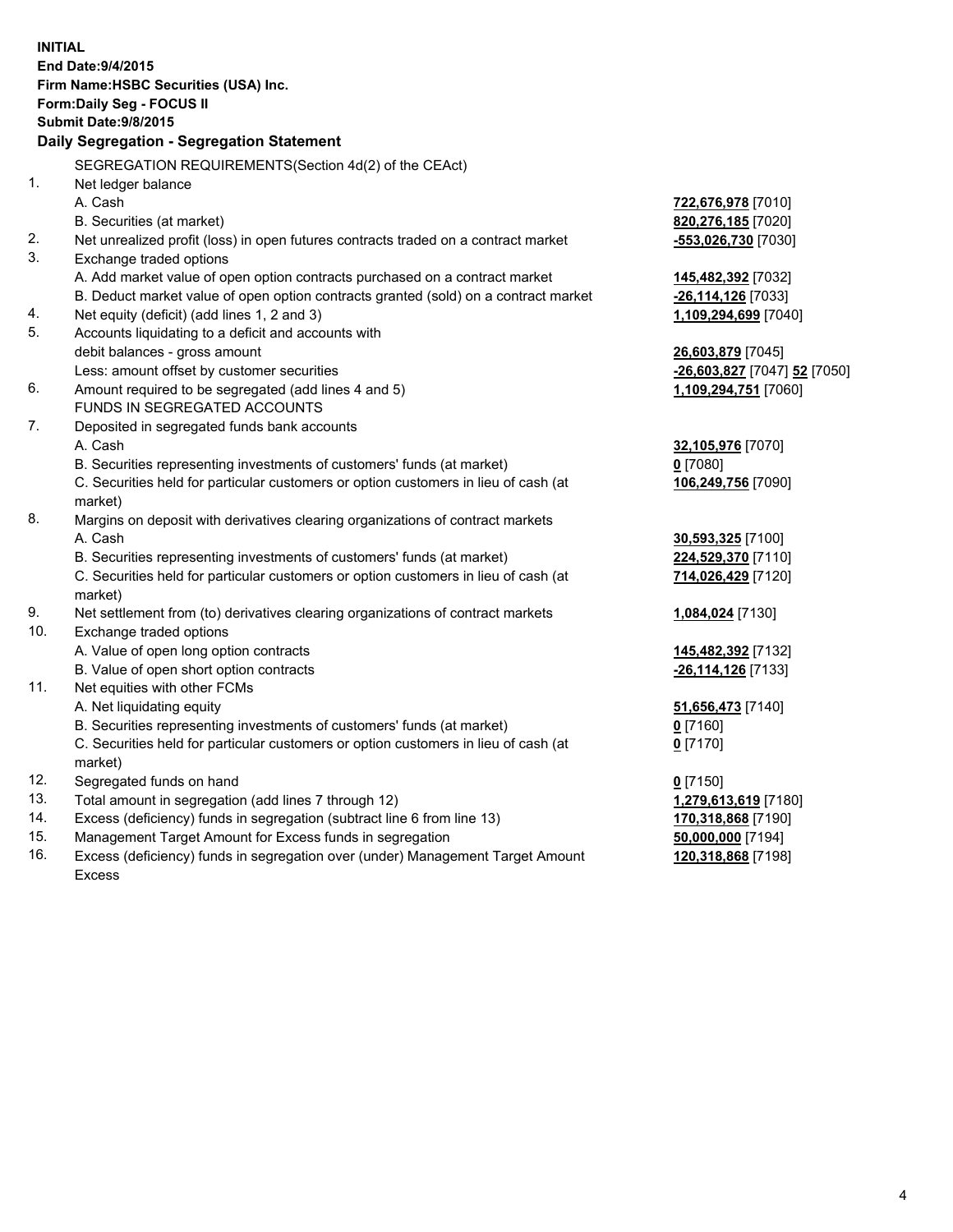| <b>INITIAL</b>                            | End Date: 9/4/2015<br>Firm Name: HSBC Securities (USA) Inc.                                                   |                              |  |  |  |  |
|-------------------------------------------|---------------------------------------------------------------------------------------------------------------|------------------------------|--|--|--|--|
| Form: Daily Seg - FOCUS II                |                                                                                                               |                              |  |  |  |  |
|                                           | <b>Submit Date: 9/8/2015</b>                                                                                  |                              |  |  |  |  |
| Daily Segregation - Segregation Statement |                                                                                                               |                              |  |  |  |  |
|                                           | SEGREGATION REQUIREMENTS(Section 4d(2) of the CEAct)                                                          |                              |  |  |  |  |
| 1.                                        | Net ledger balance                                                                                            |                              |  |  |  |  |
|                                           | A. Cash                                                                                                       | 722,676,978 [7010]           |  |  |  |  |
|                                           | B. Securities (at market)                                                                                     | 820,276,185 [7020]           |  |  |  |  |
| 2.<br>3.                                  | Net unrealized profit (loss) in open futures contracts traded on a contract market<br>Exchange traded options | -553,026,730 [7030]          |  |  |  |  |
|                                           | A. Add market value of open option contracts purchased on a contract market                                   | 145,482,392 [7032]           |  |  |  |  |
|                                           | B. Deduct market value of open option contracts granted (sold) on a contract market                           | -26,114,126 [7033]           |  |  |  |  |
| 4.                                        | Net equity (deficit) (add lines 1, 2 and 3)                                                                   | 1,109,294,699 [7040]         |  |  |  |  |
| 5.                                        | Accounts liquidating to a deficit and accounts with                                                           |                              |  |  |  |  |
|                                           | debit balances - gross amount                                                                                 | 26,603,879 [7045]            |  |  |  |  |
|                                           | Less: amount offset by customer securities                                                                    | -26,603,827 [7047] 52 [7050] |  |  |  |  |
| 6.                                        | Amount required to be segregated (add lines 4 and 5)                                                          | 1,109,294,751 [7060]         |  |  |  |  |
|                                           | FUNDS IN SEGREGATED ACCOUNTS                                                                                  |                              |  |  |  |  |
| 7.                                        | Deposited in segregated funds bank accounts                                                                   |                              |  |  |  |  |
|                                           | A. Cash                                                                                                       | 32,105,976 [7070]            |  |  |  |  |
|                                           | B. Securities representing investments of customers' funds (at market)                                        | $0$ [7080]                   |  |  |  |  |
|                                           | C. Securities held for particular customers or option customers in lieu of cash (at<br>market)                | 106,249,756 [7090]           |  |  |  |  |
| 8.                                        | Margins on deposit with derivatives clearing organizations of contract markets                                |                              |  |  |  |  |
|                                           | A. Cash                                                                                                       | 30,593,325 [7100]            |  |  |  |  |
|                                           | B. Securities representing investments of customers' funds (at market)                                        | 224,529,370 [7110]           |  |  |  |  |
|                                           | C. Securities held for particular customers or option customers in lieu of cash (at                           | 714,026,429 [7120]           |  |  |  |  |
|                                           | market)                                                                                                       |                              |  |  |  |  |
| 9.                                        | Net settlement from (to) derivatives clearing organizations of contract markets                               | 1,084,024 [7130]             |  |  |  |  |
| 10.                                       | Exchange traded options                                                                                       |                              |  |  |  |  |
|                                           | A. Value of open long option contracts                                                                        | 145,482,392 [7132]           |  |  |  |  |
|                                           | B. Value of open short option contracts                                                                       | -26,114,126 [7133]           |  |  |  |  |
| 11.                                       | Net equities with other FCMs                                                                                  |                              |  |  |  |  |
|                                           | A. Net liquidating equity                                                                                     | 51,656,473 [7140]            |  |  |  |  |
|                                           | B. Securities representing investments of customers' funds (at market)                                        | $0$ [7160]                   |  |  |  |  |
|                                           | C. Securities held for particular customers or option customers in lieu of cash (at<br>market)                | $0$ [7170]                   |  |  |  |  |
| 12.                                       | Segregated funds on hand                                                                                      | $0$ [7150]                   |  |  |  |  |
| 13.                                       | Total amount in segregation (add lines 7 through 12)                                                          | 1,279,613,619 [7180]         |  |  |  |  |
| 14.                                       | Excess (deficiency) funds in segregation (subtract line 6 from line 13)                                       | 170,318,868 [7190]           |  |  |  |  |
| 15.                                       | Management Target Amount for Excess funds in segregation                                                      | 50,000,000 [7194]            |  |  |  |  |
| 16.                                       | Excess (deficiency) funds in segregation over (under) Management Target Amount                                | 120,318,868 [7198]           |  |  |  |  |

16. Excess (deficiency) funds in segregation over (under) Management Target Amount Excess